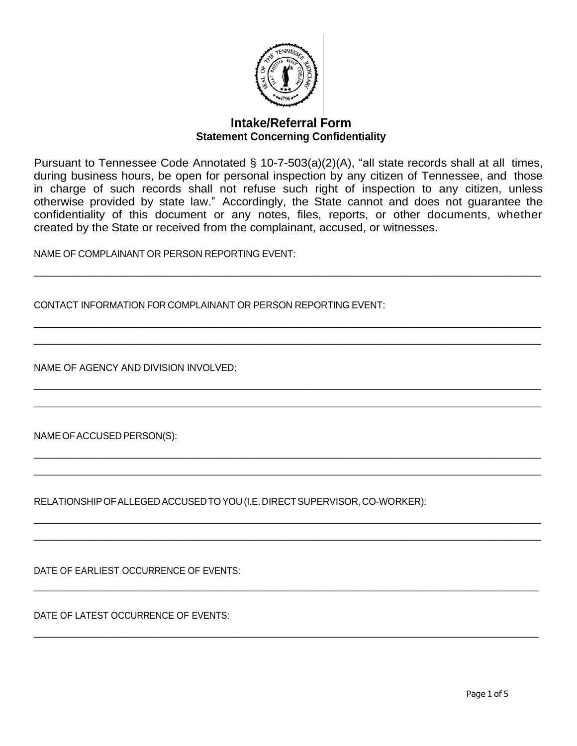

## **Intake/Referral Form Statement Concerning Confidentiality**

Pursuant to Tennessee Code Annotated § 10-7-503(a)(2)(A), "all state records shall at all times, during business hours, be open for personal inspection by any citizen of Tennessee, and those in charge of such records shall not refuse such right of inspection to any citizen, unless otherwise provided by state law." Accordingly, the State cannot and does not guarantee the confidentiality of this document or any notes, files, reports, or other documents, whether created by the State or received from the complainant, accused, or witnesses.

 $\_$  , and the state of the state of the state of the state of the state of the state of the state of the state of the state of the state of the state of the state of the state of the state of the state of the state of the

 $\_$  , and the state of the state of the state of the state of the state of the state of the state of the state of the state of the state of the state of the state of the state of the state of the state of the state of the  $\_$  , and the set of the set of the set of the set of the set of the set of the set of the set of the set of the set of the set of the set of the set of the set of the set of the set of the set of the set of the set of th

 $\_$  , and the state of the state of the state of the state of the state of the state of the state of the state of the state of the state of the state of the state of the state of the state of the state of the state of the  $\_$  ,  $\_$  ,  $\_$  ,  $\_$  ,  $\_$  ,  $\_$  ,  $\_$  ,  $\_$  ,  $\_$  ,  $\_$  ,  $\_$  ,  $\_$  ,  $\_$  ,  $\_$  ,  $\_$  ,  $\_$  ,  $\_$  ,  $\_$  ,  $\_$  ,  $\_$  ,  $\_$  ,  $\_$  ,  $\_$  ,  $\_$  ,  $\_$  ,  $\_$  ,  $\_$  ,  $\_$  ,  $\_$  ,  $\_$  ,  $\_$  ,  $\_$  ,  $\_$  ,  $\_$  ,  $\_$  ,  $\_$  ,  $\_$  ,

 $\_$  , and the state of the state of the state of the state of the state of the state of the state of the state of the state of the state of the state of the state of the state of the state of the state of the state of the  $\_$  , and the state of the state of the state of the state of the state of the state of the state of the state of the state of the state of the state of the state of the state of the state of the state of the state of the

 $\_$  ,  $\_$  ,  $\_$  ,  $\_$  ,  $\_$  ,  $\_$  ,  $\_$  ,  $\_$  ,  $\_$  ,  $\_$  ,  $\_$  ,  $\_$  ,  $\_$  ,  $\_$  ,  $\_$  ,  $\_$  ,  $\_$  ,  $\_$  ,  $\_$  ,  $\_$  ,  $\_$  ,  $\_$  ,  $\_$  ,  $\_$  ,  $\_$  ,  $\_$  ,  $\_$  ,  $\_$  ,  $\_$  ,  $\_$  ,  $\_$  ,  $\_$  ,  $\_$  ,  $\_$  ,  $\_$  ,  $\_$  ,  $\_$  ,  $\_$  , and the set of the set of the set of the set of the set of the set of the set of the set of the set of the set of the set of the set of the set of the set of the set of the set of the set of the set of the set of th

 $\_$  , and the set of the set of the set of the set of the set of the set of the set of the set of the set of the set of the set of the set of the set of the set of the set of the set of the set of the set of the set of th

 $\_$  , and the set of the set of the set of the set of the set of the set of the set of the set of the set of the set of the set of the set of the set of the set of the set of the set of the set of the set of the set of th

NAME OF COMPLAINANT OR PERSON REPORTING EVENT:

CONTACT INFORMATION FOR COMPLAINANT OR PERSON REPORTING EVENT:

NAME OF AGENCY AND DIVISION INVOLVED:

NAMEOFACCUSEDPERSON(S):

RELATIONSHIPOFALLEGEDACCUSEDTOYOU(I.E.DIRECTSUPERVISOR,CO-WORKER):

DATE OF EARLIEST OCCURRENCE OF EVENTS:

DATE OF LATEST OCCURRENCE OF EVENTS: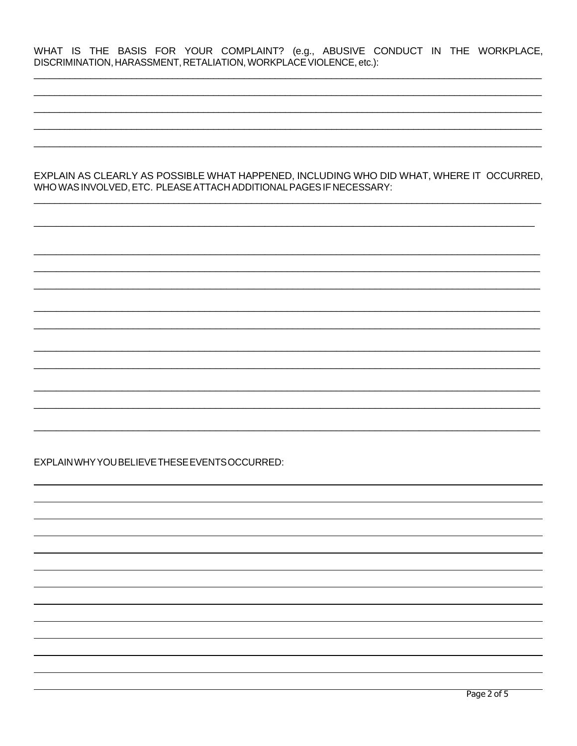WHAT IS THE BASIS FOR YOUR COMPLAINT? (e.g., ABUSIVE CONDUCT IN THE WORKPLACE, DISCRIMINATION, HARASSMENT, RETALIATION, WORKPLACE VIOLENCE, etc.):

EXPLAIN AS CLEARLY AS POSSIBLE WHAT HAPPENED, INCLUDING WHO DID WHAT, WHERE IT OCCURRED, WHO WAS INVOLVED, ETC. PLEASE ATTACH ADDITIONAL PAGES IF NECESSARY:

EXPLAIN WHY YOU BELIEVE THESE EVENTS OCCURRED: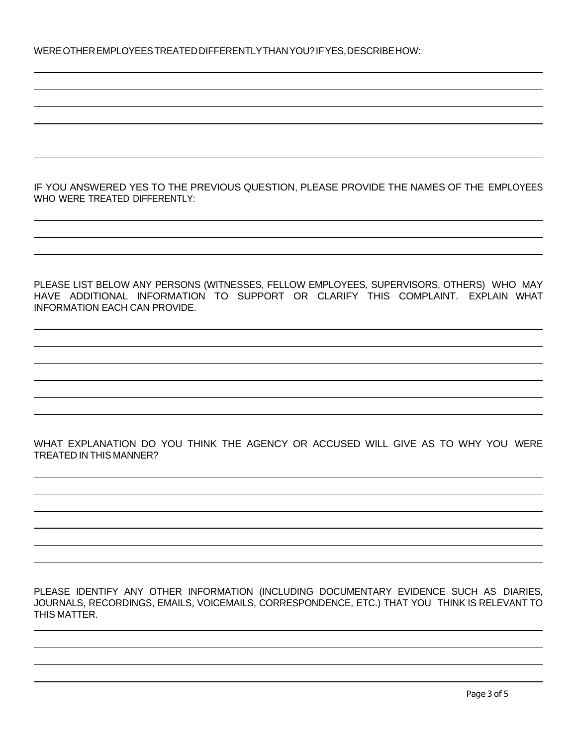IF YOU ANSWERED YES TO THE PREVIOUS QUESTION, PLEASE PROVIDE THE NAMES OF THE EMPLOYEES WHO WERE TREATED DIFFERENTLY:

PLEASE LIST BELOW ANY PERSONS (WITNESSES, FELLOW EMPLOYEES, SUPERVISORS, OTHERS) WHO MAY HAVE ADDITIONAL INFORMATION TO SUPPORT OR CLARIFY THIS COMPLAINT. EXPLAIN WHAT INFORMATION EACH CAN PROVIDE.

WHAT EXPLANATION DO YOU THINK THE AGENCY OR ACCUSED WILL GIVE AS TO WHY YOU WERE TREATED IN THIS MANNER?

PLEASE IDENTIFY ANY OTHER INFORMATION (INCLUDING DOCUMENTARY EVIDENCE SUCH AS DIARIES, JOURNALS, RECORDINGS, EMAILS, VOICEMAILS, CORRESPONDENCE, ETC.) THAT YOU THINK IS RELEVANT TO THIS MATTER.